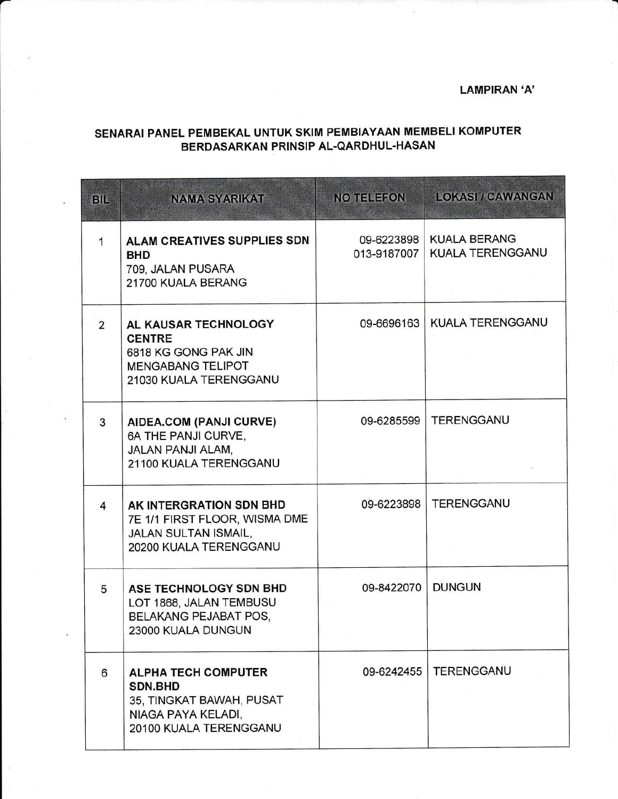## **LAMPIRAN 'A'**

## SENARAI PANEL PEMBEKAL UNTUK SKIM PEMBIAYAAN MEMBELI KOMPUTER BERDASARKAN PRINSIP AL-QARDHUL-HASAN

| BIL            | <b>NAMA SYARIKAT</b>                                                                                                     | <b>NO TELEFON</b>         | <b>LOKASI / CAWANGAN</b>                |
|----------------|--------------------------------------------------------------------------------------------------------------------------|---------------------------|-----------------------------------------|
| 1              | ALAM CREATIVES SUPPLIES SDN<br><b>BHD</b><br>709, JALAN PUSARA<br>21700 KUALA BERANG                                     | 09-6223898<br>013-9187007 | <b>KUALA BERANG</b><br>KUALA TERENGGANU |
| $\overline{2}$ | AL KAUSAR TECHNOLOGY<br><b>CENTRE</b><br>6818 KG GONG PAK JIN<br><b>MENGABANG TELIPOT</b><br>21030 KUALA TERENGGANU      | 09-6696163                | <b>KUALA TERENGGANU</b>                 |
| 3              | AIDEA.COM (PANJI CURVE)<br>6A THE PANJI CURVE,<br><b>JALAN PANJI ALAM.</b><br>21100 KUALA TERENGGANU                     | 09-6285599                | <b>TERENGGANU</b>                       |
| $\overline{4}$ | AK INTERGRATION SDN BHD<br>7E 1/1 FIRST FLOOR, WISMA DME<br><b>JALAN SULTAN ISMAIL,</b><br>20200 KUALA TERENGGANU        | 09-6223898                | <b>TERENGGANU</b>                       |
| 5              | ASE TECHNOLOGY SDN BHD<br>LOT 1868, JALAN TEMBUSU<br>BELAKANG PEJABAT POS,<br>23000 KUALA DUNGUN                         | 09-8422070                | <b>DUNGUN</b>                           |
| 6              | <b>ALPHA TECH COMPUTER</b><br><b>SDN.BHD</b><br>35, TINGKAT BAWAH, PUSAT<br>NIAGA PAYA KELADI,<br>20100 KUALA TERENGGANU | 09-6242455                | <b>TERENGGANU</b>                       |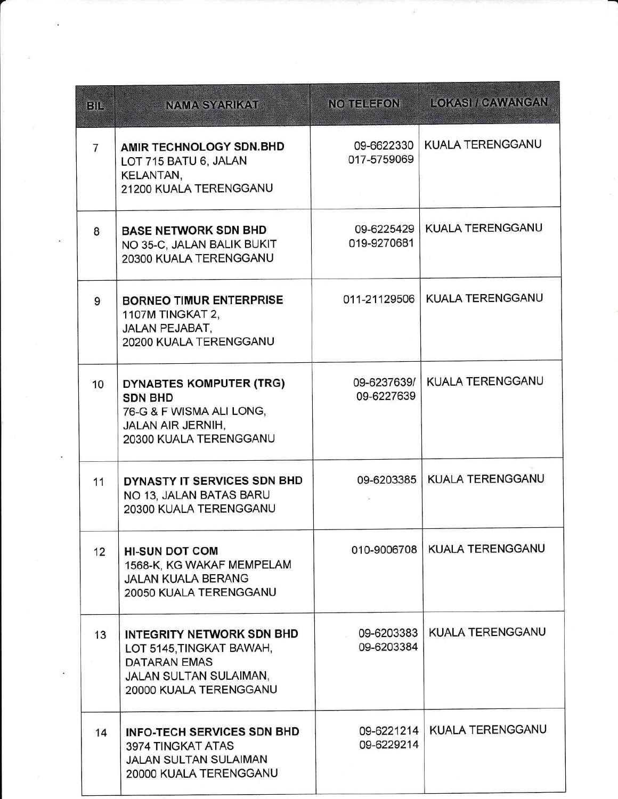| B              | <b>NAMA SYARIKAT</b>                                                                                                                           | <b>NO TELEFON</b>         | <b>LOKASI / CAWANGAN</b> |
|----------------|------------------------------------------------------------------------------------------------------------------------------------------------|---------------------------|--------------------------|
| $\overline{7}$ | AMIR TECHNOLOGY SDN.BHD<br>LOT 715 BATU 6, JALAN<br>KELANTAN,<br>21200 KUALA TERENGGANU                                                        | 09-6622330<br>017-5759069 | KUALA TERENGGANU         |
| 8              | <b>BASE NETWORK SDN BHD</b><br>NO 35-C, JALAN BALIK BUKIT<br>20300 KUALA TERENGGANU                                                            | 09-6225429<br>019-9270681 | KUALA TERENGGANU         |
| 9              | <b>BORNEO TIMUR ENTERPRISE</b><br>1107M TINGKAT 2,<br>JALAN PEJABAT,<br>20200 KUALA TERENGGANU                                                 | 011-21129506              | KUALA TERENGGANU         |
| 10             | DYNABTES KOMPUTER (TRG)<br><b>SDN BHD</b><br>76-G & F WISMA ALI LONG,<br><b>JALAN AIR JERNIH,</b><br>20300 KUALA TERENGGANU                    | 09-6237639/<br>09-6227639 | KUALA TERENGGANU         |
| 11             | DYNASTY IT SERVICES SDN BHD<br>NO 13. JALAN BATAS BARU<br>20300 KUALA TERENGGANU                                                               | 09-6203385                | <b>KUALA TERENGGANU</b>  |
| 12             | <b>HI-SUN DOT COM</b><br>1568-K, KG WAKAF MEMPELAM<br><b>JALAN KUALA BERANG</b><br>20050 KUALA TERENGGANU                                      | 010-9006708               | <b>KUALA TERENGGANU</b>  |
| 13             | <b>INTEGRITY NETWORK SDN BHD</b><br>LOT 5145, TINGKAT BAWAH,<br><b>DATARAN EMAS</b><br><b>JALAN SULTAN SULAIMAN,</b><br>20000 KUALA TERENGGANU | 09-6203383<br>09-6203384  | KUALA TERENGGANU         |
| 14             | <b>INFO-TECH SERVICES SDN BHD</b><br>3974 TINGKAT ATAS<br><b>JALAN SULTAN SULAIMAN</b><br>20000 KUALA TERENGGANU                               | 09-6221214<br>09-6229214  | KUALA TERENGGANU         |

,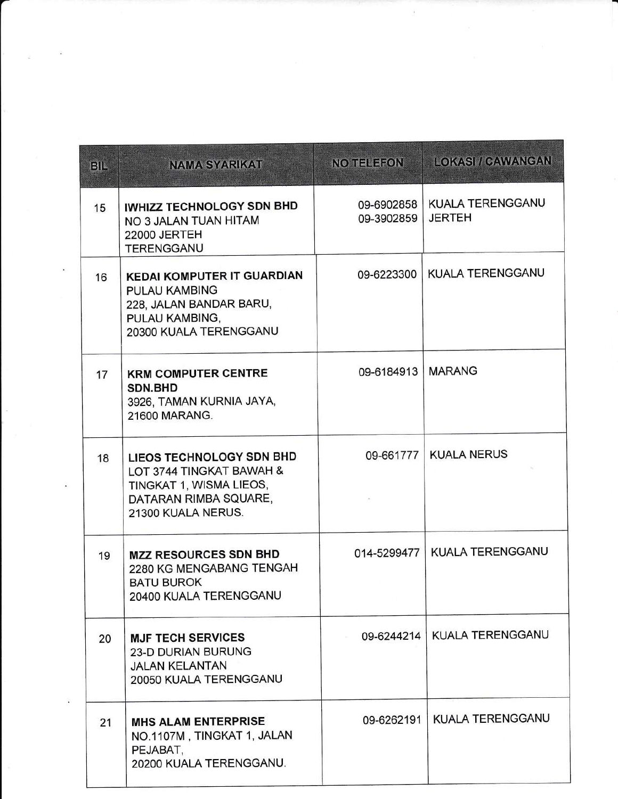| <b>BIL</b> | <b>NAMA SYARIKAT</b>                                                                                                             | NO TELEFON          | <b>LOKASI / CAWANGAN</b>                       |
|------------|----------------------------------------------------------------------------------------------------------------------------------|---------------------|------------------------------------------------|
| 15         | IWHIZZ TECHNOLOGY SDN BHD<br>NO 3 JALAN TUAN HITAM<br>22000 JERTEH<br>TERENGGANU                                                 | 09-3902859          | 09-6902858   KUALA TERENGGANU<br><b>JERTEH</b> |
| 16         | <b>KEDAI KOMPUTER IT GUARDIAN</b><br><b>PULAU KAMBING</b><br>228, JALAN BANDAR BARU,<br>PULAU KAMBING,<br>20300 KUALA TERENGGANU | 09-6223300          | KUALA TERENGGANU                               |
| 17         | <b>KRM COMPUTER CENTRE</b><br>SDN.BHD<br>3926, TAMAN KURNIA JAYA,<br>21600 MARANG.                                               | 09-6184913   MARANG |                                                |
| 18         | LIEOS TECHNOLOGY SDN BHD<br>LOT 3744 TINGKAT BAWAH &<br>TINGKAT 1, WISMA LIEOS,<br>DATARAN RIMBA SQUARE,<br>21300 KUALA NERUS.   | 09-661777           | <b>KUALA NERUS</b>                             |
| 19         | <b>MZZ RESOURCES SDN BHD</b><br>2280 KG MENGABANG TENGAH<br><b>BATU BUROK</b><br>20400 KUALA TERENGGANU                          | 014-5299477         | KUALA TERENGGANU                               |
| 20         | <b>MJF TECH SERVICES</b><br><b>23-D DURIAN BURUNG</b><br><b>JALAN KELANTAN</b><br>20050 KUALA TERENGGANU                         | 09-6244214          | <b>KUALA TERENGGANU</b>                        |
| 21         | <b>MHS ALAM ENTERPRISE</b><br>NO.1107M, TINGKAT 1, JALAN<br>PEJABAT,<br>20200 KUALA TERENGGANU.                                  | 09-6262191          | KUALA TERENGGANU                               |

 $\sim 100$ 

 $\overline{3}$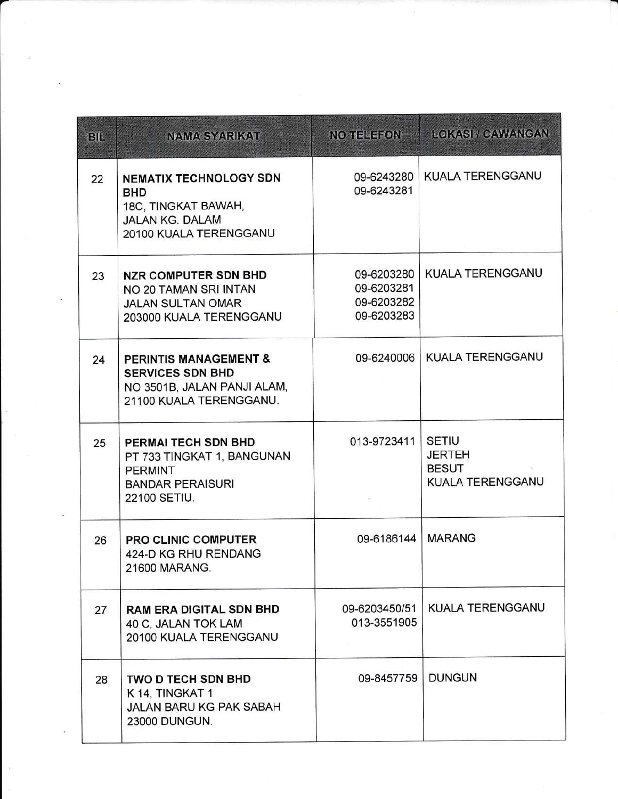| <b>BIL</b> | <b>NAMA SYARIKAT</b>                                                                                                   | NO TELEFON                                           | LOKASI / CAWANGAN                                                 |
|------------|------------------------------------------------------------------------------------------------------------------------|------------------------------------------------------|-------------------------------------------------------------------|
| 22         | <b>NEMATIX TECHNOLOGY SDN</b><br><b>BHD</b><br>18C, TINGKAT BAWAH,<br><b>JALAN KG. DALAM</b><br>20100 KUALA TERENGGANU | 09-6243280<br>09-6243281                             | <b>KUALA TERENGGANU</b>                                           |
| 23         | <b>NZR COMPUTER SDN BHD</b><br>NO 20 TAMAN SRI INTAN<br><b>JALAN SULTAN OMAR</b><br>203000 KUALA TERENGGANU            | 09-6203280<br>09-6203281<br>09-6203282<br>09-6203283 | <b>KUALA TERENGGANU</b>                                           |
| 24         | <b>PERINTIS MANAGEMENT &amp;</b><br><b>SERVICES SDN BHD</b><br>NO 3501B, JALAN PANJI ALAM,<br>21100 KUALA TERENGGANU.  | 09-6240006                                           | KUALA TERENGGANU                                                  |
| 25         | PERMAI TECH SDN BHD<br>PT 733 TINGKAT 1, BANGUNAN<br><b>PERMINT</b><br><b>BANDAR PERAISURI</b><br>22100 SETIU.         | 013-9723411                                          | <b>SETIU</b><br><b>JERTEH</b><br><b>BESUT</b><br>KUALA TERENGGANU |
| 26         | <b>PRO CLINIC COMPUTER</b><br>424-D KG RHU RENDANG<br>21600 MARANG.                                                    | 09-6186144                                           | <b>MARANG</b>                                                     |
| 27         | <b>RAM ERA DIGITAL SDN BHD</b><br>40 C, JALAN TOK LAM<br>20100 KUALA TERENGGANU                                        | 09-6203450/51<br>013-3551905                         | KUALA TERENGGANU                                                  |
| 28         | <b>TWO D TECH SDN BHD</b><br>K 14, TINGKAT 1<br>JALAN BARU KG PAK SABAH<br>23000 DUNGUN.                               | 09-8457759                                           | <b>DUNGUN</b>                                                     |

a